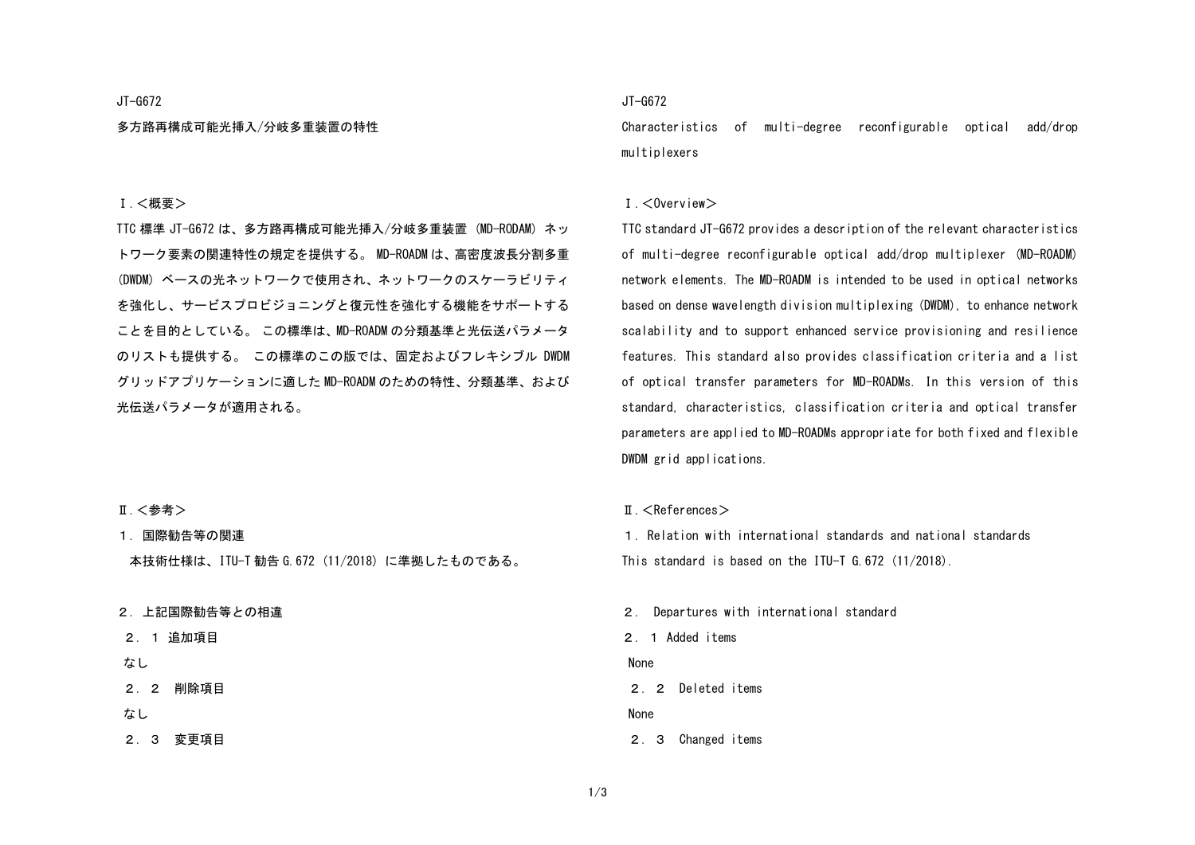#### JT-G672

多方路再構成可能光挿入/分岐多重装置の特性

### JT-G672

Characteristics of multi-degree reconfigurable optical add/drop multiplexers

### Ⅰ.<概要>

TTC 標準 JT-G672 は、多方路再構成可能光挿入/分岐多重装置 (MD-RODAM) ネッ トワーク要素の関連特性の規定を提供する。 MD-ROADM は、高密度波長分割多重 (DWDM) ベースの光ネットワークで使用され、ネットワークのスケーラビリティ を強化し、サービスプロビジョニングと復元性を強化する機能をサポートする ことを目的としている。 この標準は、MD-ROADM の分類基準と光伝送パラメータ のリストも提供する。 この標準のこの版では、固定およびフレキシブル DWDM グリッドアプリケーションに適した MD-ROADM のための特性、分類基準、および 光伝送パラメータが適用される。

### Ⅰ.<Overview>

TTC standard JT-G672 provides a description of the relevant characteristics of multi-degree reconfigurable optical add/drop multiplexer (MD-ROADM) network elements. The MD-ROADM is intended to be used in optical networks based on dense wavelength division multiplexing (DWDM), to enhance network scalability and to support enhanced service provisioning and resilience features. This standard also provides classification criteria and a list of optical transfer parameters for MD-ROADMs. In this version of this standard, characteristics, classification criteria and optical transfer parameters are applied to MD-ROADMs appropriate for both fixed and flexible DWDM grid applications.

#### Ⅱ.<References>

1. Relation with international standards and national standards This standard is based on the ITU-T G.672 (11/2018).

2. Departures with international standard 2.1 Added items None 2.2 Deleted items None 2.3 Changed items

### Ⅱ. <参考>

1. 国際勧告等の関連

本技術仕様は、ITU-T 勧告 G.672 (11/2018) に準拠したものである。

#### 2. 上記国際勧告等との相違

2.1 追加項目

### なし

- 2.2 削除項目
- なし

2.3 変更項目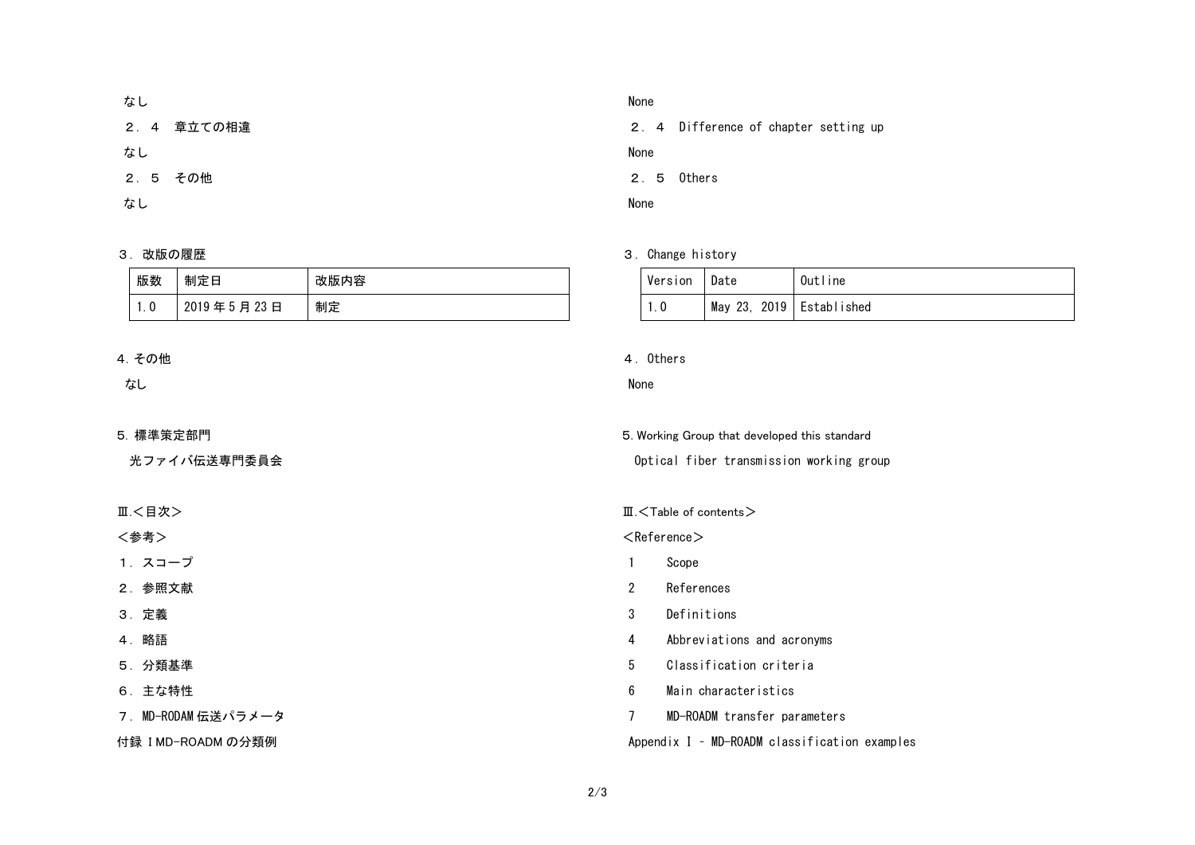# なし

2.4 章立ての相違

なし

2.5 その他

なし

### 3. 改版の履歴

| 版数   | 制定日        | 改版内容 |
|------|------------|------|
| i. O | 2019年5月23日 | 制定   |

# 4.その他

なし

### 5. 標準策定部門

光ファイバ伝送専門委員会

Ⅲ.<目次>

<参考>

1.スコープ

2.参照文献

3.定義

4.略語

5.分類基準

6.主な特性

7.MD-RODAM 伝送パラメータ

付録 I MD-ROADM の分類例

## None

2.4 Difference of chapter setting up

None

2.5 Others

None

## 3. Change history

| Version | l Date                     | Outline |
|---------|----------------------------|---------|
| ı. O    | May 23, 2019   Established |         |

### 4.Others

### None

5. Working Group that developed this standard Optical fiber transmission working group

### Ⅲ.<Table of contents>

 $<$ Reference $>$ 

- 1 Scope
- 2 References
- 3 Definitions
- 4 Abbreviations and acronyms
- 5 Classification criteria
- 6 Main characteristics
- 7 MD-ROADM transfer parameters

## Appendix I – MD-ROADM classification examples